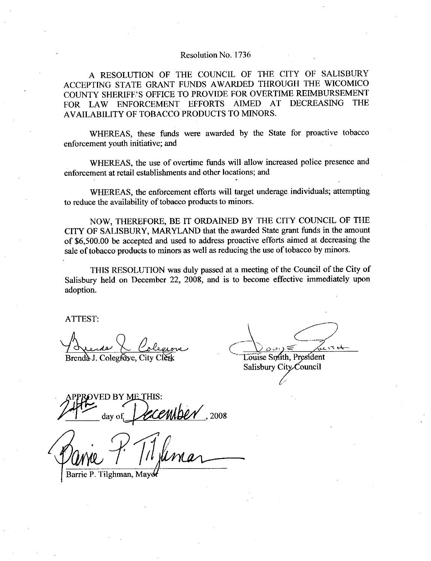## Resolution No. 1736

A RESOLUTION OF THE COUNCIL OF THE CITY OF SALISBURY ACCEPTING STATE GRANT FUNDS AWARDED THROUGH THE WICOMICO Resolution No. 1736<br>A RESOLUTION OF THE COUNCIL OF THE CITY OF SALISBURY<br>ACCEPTING STATE GRANT FUNDS AWARDED THROUGH THE WICOMICO<br>COUNTY SHERIFF'S OFFICE TO PROVIDE FOR OVERTIME REIMBURSEMENT<br>FOR LAW ENFORCEMENT EFFORTS AI COUNTY SHERIFF'S OFFICE TO PROVIDE FOR OVERTIME REIMBURSEMENT<br>FOR LAW ENFORCEMENT EFFORTS AIMED AT DECREASING THE AVAILABILITY OF TOBACCO PRODUCTS TO MINORS

WHEREAS, these funds were awarded by the State for proactive tobacco enforcement youth initiative; and

WHEREAS, the use of overtime funds will allow increased police presence and enforcement at retail establishments and other locations: and

WHEREAS, the enforcement efforts will target underage individuals; attempting to reduce the availability of tobacco products to minors

NOW, THEREFORE, BE IT ORDAINED BY THE CITY COUNCIL OF THE CITY OF SALISBURY, MARYLAND that the awarded State grant funds in the amount to reduce the availability of tobacco products to minors.<br>NOW, THEREFORE, BE IT ORDAINED BY THE CITY COUNCIL OF THE<br>CITY OF SALISBURY, MARYLAND that the awarded State grant funds in the amount<br>of \$6,500.00 be accepted and of \$6,500.00 be accepted and used to address proactive efforts aimed at decreasing the sale of tobacco products to minors as well as reducing the use of tobacco by minors.

THIS RESOLUTION was duly passed at a meeting of the Council of the City of Salisbury held on December 22, 2008, and is to become effective immediately upon adoption

ATTEST

:<br>us <u>L Colegr</u>ove Brenda J. Colegfoye, City Clerk

Louise Smith, President

Salisbury City Council

ED BY ME THIS: centber  $1,2008$ 

Barrie P. Tilghman, Mayo